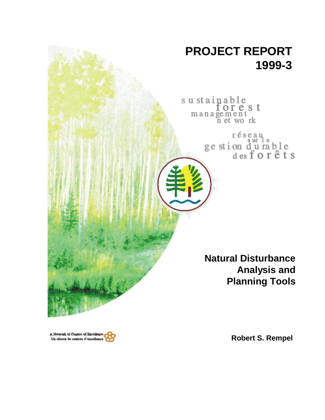# **PROJECT REPORT 1999-3**

sustainable<br>forest<br>management<br>net work

réseau<br>ge stion d'u rable<br>des forêts

**Natural Disturbance Analysis and Planning Tools**

A Network of Centres of Bacelien Un réseau de centres d'excellence

**Robert S. Rempel**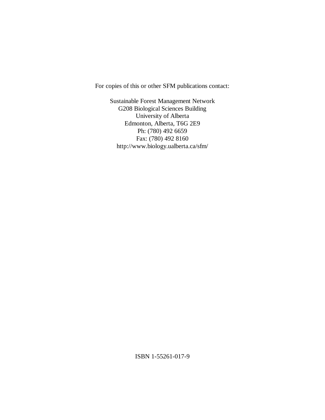For copies of this or other SFM publications contact:

Sustainable Forest Management Network G208 Biological Sciences Building University of Alberta Edmonton, Alberta, T6G 2E9 Ph: (780) 492 6659 Fax: (780) 492 8160 http://www.biology.ualberta.ca/sfm/

ISBN 1-55261-017-9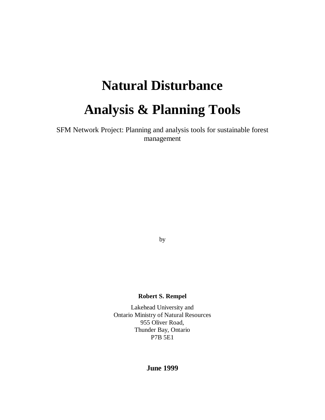# **Natural Disturbance Analysis & Planning Tools**

SFM Network Project: Planning and analysis tools for sustainable forest management

by

## **Robert S. Rempel**

Lakehead University and Ontario Ministry of Natural Resources 955 Oliver Road, Thunder Bay, Ontario P7B 5E1

# **June 1999**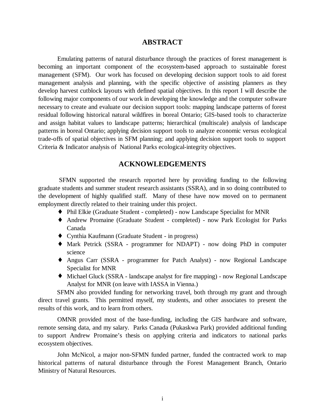#### **ABSTRACT**

Emulating patterns of natural disturbance through the practices of forest management is becoming an important component of the ecosystem-based approach to sustainable forest management (SFM). Our work has focused on developing decision support tools to aid forest management analysis and planning, with the specific objective of assisting planners as they develop harvest cutblock layouts with defined spatial objectives. In this report I will describe the following major components of our work in developing the knowledge and the computer software necessary to create and evaluate our decision support tools: mapping landscape patterns of forest residual following historical natural wildfires in boreal Ontario; GIS-based tools to characterize and assign habitat values to landscape patterns; hierarchical (multiscale) analysis of landscape patterns in boreal Ontario; applying decision support tools to analyze economic versus ecological trade-offs of spatial objectives in SFM planning; and applying decision support tools to support Criteria & Indicator analysis of National Parks ecological-integrity objectives.

# **ACKNOWLEDGEMENTS**

 SFMN supported the research reported here by providing funding to the following graduate students and summer student research assistants (SSRA), and in so doing contributed to the development of highly qualified staff. Many of these have now moved on to permanent employment directly related to their training under this project.

- ♦ Phil Elkie (Graduate Student completed) now Landscape Specialist for MNR
- ♦ Andrew Promaine (Graduate Student completed) now Park Ecologist for Parks Canada
- ♦ Cynthia Kaufmann (Graduate Student in progress)
- ♦ Mark Petrick (SSRA programmer for NDAPT) now doing PhD in computer science
- ♦ Angus Carr (SSRA programmer for Patch Analyst) now Regional Landscape Specialist for MNR
- ♦ Michael Gluck (SSRA landscape analyst for fire mapping) now Regional Landscape Analyst for MNR (on leave with IASSA in Vienna.)

SFMN also provided funding for networking travel, both through my grant and through direct travel grants. This permitted myself, my students, and other associates to present the results of this work, and to learn from others.

OMNR provided most of the base-funding, including the GIS hardware and software, remote sensing data, and my salary. Parks Canada (Pukaskwa Park) provided additional funding to support Andrew Promaine's thesis on applying criteria and indicators to national parks ecosystem objectives.

John McNicol, a major non-SFMN funded partner, funded the contracted work to map historical patterns of natural disturbance through the Forest Management Branch, Ontario Ministry of Natural Resources.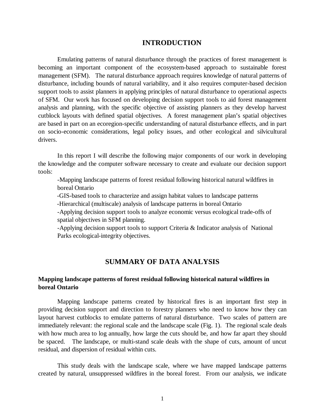## **INTRODUCTION**

Emulating patterns of natural disturbance through the practices of forest management is becoming an important component of the ecosystem-based approach to sustainable forest management (SFM). The natural disturbance approach requires knowledge of natural patterns of disturbance, including bounds of natural variability, and it also requires computer-based decision support tools to assist planners in applying principles of natural disturbance to operational aspects of SFM. Our work has focused on developing decision support tools to aid forest management analysis and planning, with the specific objective of assisting planners as they develop harvest cutblock layouts with defined spatial objectives. A forest management plan's spatial objectives are based in part on an ecoregion-specific understanding of natural disturbance effects, and in part on socio-economic considerations, legal policy issues, and other ecological and silvicultural drivers.

In this report I will describe the following major components of our work in developing the knowledge and the computer software necessary to create and evaluate our decision support tools:

-Mapping landscape patterns of forest residual following historical natural wildfires in boreal Ontario

-GIS-based tools to characterize and assign habitat values to landscape patterns

-Hierarchical (multiscale) analysis of landscape patterns in boreal Ontario

-Applying decision support tools to analyze economic versus ecological trade-offs of spatial objectives in SFM planning.

-Applying decision support tools to support Criteria & Indicator analysis of National Parks ecological-integrity objectives.

# **SUMMARY OF DATA ANALYSIS**

#### **Mapping landscape patterns of forest residual following historical natural wildfires in boreal Ontario**

Mapping landscape patterns created by historical fires is an important first step in providing decision support and direction to forestry planners who need to know how they can layout harvest cutblocks to emulate patterns of natural disturbance. Two scales of pattern are immediately relevant: the regional scale and the landscape scale (Fig. 1). The regional scale deals with how much area to log annually, how large the cuts should be, and how far apart they should be spaced. The landscape, or multi-stand scale deals with the shape of cuts, amount of uncut residual, and dispersion of residual within cuts.

This study deals with the landscape scale, where we have mapped landscape patterns created by natural, unsuppressed wildfires in the boreal forest. From our analysis, we indicate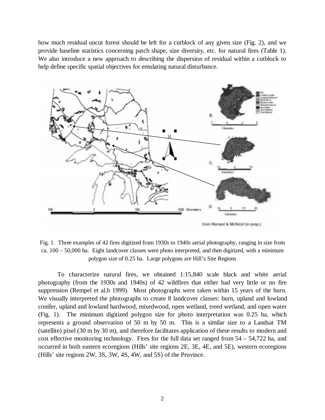how much residual uncut forest should be left for a cutblock of any given size (Fig. 2), and we provide baseline statistics concerning patch shape, size diversity, etc. for natural fires (Table 1). We also introduce a new approach to describing the dispersion of residual within a cutblock to help define specific spatial objectives for emulating natural disturbance.



Fig. 1. Three examples of 42 fires digitized from 1930s to 1940s aerial photography, ranging in size from ca. 100 – 50,000 ha. Eight landcover classes were photo interpreted, and then digitized, with a minimum polygon size of 0.25 ha. Large polygons are Hill's Site Regions

To characterize natural fires, we obtained 1:15,840 scale black and white aerial photography (from the 1930s and 1940s) of 42 wildfires that either had very little or no fire suppression (Rempel et al.b 1999). Most photographs were taken within 15 years of the burn. We visually interpreted the photographs to create 8 landcover classes: burn, upland and lowland conifer, upland and lowland hardwood, mixedwood, open wetland, treed wetland, and open water (Fig. 1). The minimum digitized polygon size for photo interpretation was 0.25 ha, which represents a ground observation of 50 m by 50 m. This is a similar size to a Landsat TM (satellite) pixel (30 m by 30 m), and therefore facilitates application of these results to modern and cost effective monitoring technology. Fires for the full data set ranged from 54 – 54,722 ha, and occurred in both eastern ecoregions (Hills' site regions 2E, 3E, 4E, and 5E), western ecoregions (Hills' site regions 2W, 3S, 3W, 4S, 4W, and 5S) of the Province.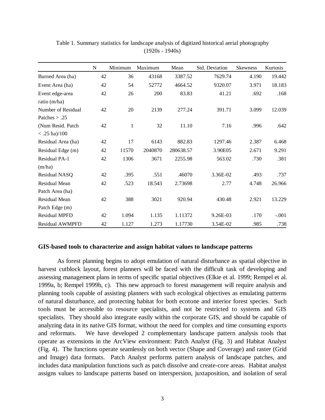|                        | $\mathbf N$ | Minimum      | Maximum | Mean      | Std. Deviation | <b>Skewness</b> | Kurtosis |
|------------------------|-------------|--------------|---------|-----------|----------------|-----------------|----------|
| Burned Area (ha)       | 42          | 36           | 43168   | 3387.52   | 7629.74        | 4.190           | 19.442   |
| Event Area (ha)        | 42          | 54           | 52772   | 4664.52   | 9320.07        | 3.971           | 18.183   |
| Event edge-area        | 42          | 26           | 200     | 83.83     | 41.21          | .692            | .168     |
| ratio (m/ha)           |             |              |         |           |                |                 |          |
| Number of Residual     | 42          | 20           | 2139    | 277.24    | 391.71         | 3.099           | 12.039   |
| Patches $> .25$        |             |              |         |           |                |                 |          |
| (Num Resid. Patch      | 42          | $\mathbf{1}$ | 32      | 11.10     | 7.16           | .996            | .642     |
| $< .25$ ha $)/100$     |             |              |         |           |                |                 |          |
| Residual Area (ha)     | 42          | 17           | 6143    | 882.83    | 1297.46        | 2.387           | 6.468    |
| Residual Edge (m)      | 42          | 11570        | 2040870 | 280638.57 | 3.90E05        | 2.671           | 9.291    |
| Residual PA-1          | 42          | 1306         | 3671    | 2255.98   | 563.02         | .730            | .381     |
| (m/ha)                 |             |              |         |           |                |                 |          |
| Residual NASQ          | 42          | .395         | .551    | .46070    | 3.36E-02       | .493            | .737     |
| Residual Mean          | 42          | .523         | 18.543  | 2.73698   | 2.77           | 4.748           | 26.966   |
| Patch Area (ha)        |             |              |         |           |                |                 |          |
| Residual Mean          | 42          | 388          | 3021    | 920.94    | 430.48         | 2.921           | 13.229   |
| Patch Edge (m)         |             |              |         |           |                |                 |          |
| <b>Residual MPFD</b>   | 42          | 1.094        | 1.135   | 1.11372   | 9.26E-03       | .170            | $-.001$  |
| <b>Residual AWMPFD</b> | 42          | 1.127        | 1.273   | 1.17730   | 3.54E-02       | .985            | .738     |

Table 1. Summary statistics for landscape analysis of digitized historical aerial photography (1920s - 1940s)

#### **GIS-based tools to characterize and assign habitat values to landscape patterns**

As forest planning begins to adopt emulation of natural disturbance as spatial objective in harvest cutblock layout, forest planners will be faced with the difficult task of developing and assessing management plans in terms of specific spatial objectives (Elkie et al. 1999; Rempel et al. 1999a, b; Rempel 1999b, c). This new approach to forest management will require analysis and planning tools capable of assisting planners with such ecological objectives as emulating patterns of natural disturbance, and protecting habitat for both ecotone and interior forest species. Such tools must be accessible to resource specialists, and not be restricted to systems and GIS specialists. They should also integrate easily within the corporate GIS, and should be capable of analyzing data in its native GIS format, without the need for complex and time consuming exports and reformats. We have developed 2 complementary landscape pattern analysis tools that operate as extensions in the ArcView environment: Patch Analyst (Fig. 3) and Habitat Analyst (Fig. 4). The functions operate seamlessly on both vector (Shape and Coverage) and raster (Grid and Image) data formats. Patch Analyst performs pattern analysis of landscape patches, and includes data manipulation functions such as patch dissolve and create-core areas. Habitat analyst assigns values to landscape patterns based on interspersion, juxtaposition, and isolation of seral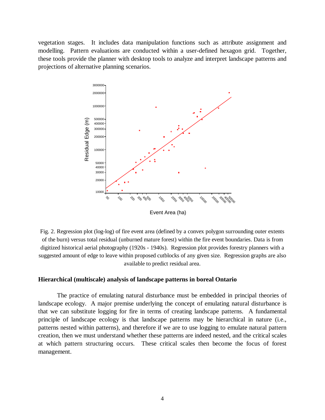vegetation stages. It includes data manipulation functions such as attribute assignment and modelling. Pattern evaluations are conducted within a user-defined hexagon grid. Together, these tools provide the planner with desktop tools to analyze and interpret landscape patterns and projections of alternative planning scenarios.



Fig. 2. Regression plot (log-log) of fire event area (defined by a convex polygon surrounding outer extents of the burn) versus total residual (unburned mature forest) within the fire event boundaries. Data is from digitized historical aerial photography (1920s - 1940s). Regression plot provides forestry planners with a suggested amount of edge to leave within proposed cutblocks of any given size. Regression graphs are also available to predict residual area.

#### **Hierarchical (multiscale) analysis of landscape patterns in boreal Ontario**

The practice of emulating natural disturbance must be embedded in principal theories of landscape ecology. A major premise underlying the concept of emulating natural disturbance is that we can substitute logging for fire in terms of creating landscape patterns. A fundamental principle of landscape ecology is that landscape patterns may be hierarchical in nature (i.e., patterns nested within patterns), and therefore if we are to use logging to emulate natural pattern creation, then we must understand whether these patterns are indeed nested, and the critical scales at which pattern structuring occurs. These critical scales then become the focus of forest management.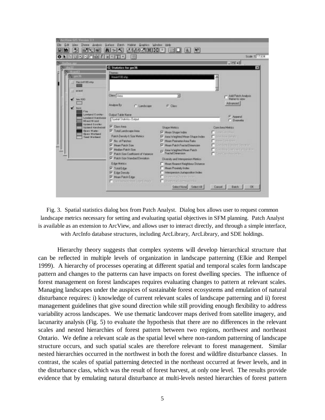

Fig. 3. Spatial statistics dialog box from Patch Analyst. Dialog box allows user to request common landscape metrics necessary for setting and evaluating spatial objectives in SFM planning. Patch Analyst is available as an extension to ArcView, and allows user to interact directly, and through a simple interface, with ArcInfo database structures, including ArcLibrary, ArcLibrary, and SDE holdings.

Hierarchy theory suggests that complex systems will develop hierarchical structure that can be reflected in multiple levels of organization in landscape patterning (Elkie and Rempel 1999). A hierarchy of processes operating at different spatial and temporal scales form landscape pattern and changes to the patterns can have impacts on forest dwelling species. The influence of forest management on forest landscapes requires evaluating changes to pattern at relevant scales. Managing landscapes under the auspices of sustainable forest ecosystems and emulation of natural disturbance requires: i) knowledge of current relevant scales of landscape patterning and ii) forest management guidelines that give sound direction while still providing enough flexibility to address variability across landscapes. We use thematic landcover maps derived from satellite imagery, and lacunarity analysis (Fig. 5) to evaluate the hypothesis that there are no differences in the relevant scales and nested hierarchies of forest pattern between two regions, northwest and northeast Ontario. We define a relevant scale as the spatial level where non-random patterning of landscape structure occurs, and such spatial scales are therefore relevant to forest management. Similar nested hierarchies occurred in the northwest in both the forest and wildfire disturbance classes. In contrast, the scales of spatial patterning detected in the northeast occurred at fewer levels, and in the disturbance class, which was the result of forest harvest, at only one level. The results provide evidence that by emulating natural disturbance at multi-levels nested hierarchies of forest pattern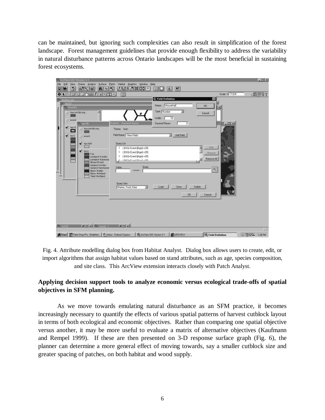can be maintained, but ignoring such complexities can also result in simplification of the forest landscape. Forest management guidelines that provide enough flexibility to address the variability in natural disturbance patterns across Ontario landscapes will be the most beneficial in sustaining forest ecosystems.



Fig. 4. Attribute modelling dialog box from Habitat Analyst. Dialog box allows users to create, edit, or import algorithms that assign habitat values based on stand attributes, such as age, species composition, and site class. This ArcView extension interacts closely with Patch Analyst.

# **Applying decision support tools to analyze economic versus ecological trade-offs of spatial objectives in SFM planning.**

As we move towards emulating natural disturbance as an SFM practice, it becomes increasingly necessary to quantify the effects of various spatial patterns of harvest cutblock layout in terms of both ecological and economic objectives. Rather than comparing one spatial objective versus another, it may be more useful to evaluate a matrix of alternative objectives (Kaufmann and Rempel 1999). If these are then presented on 3-D response surface graph (Fig. 6), the planner can determine a more general effect of moving towards, say a smaller cutblock size and greater spacing of patches, on both habitat and wood supply.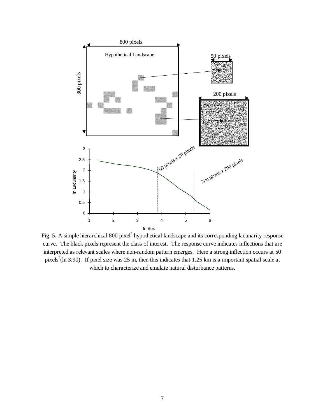

Fig. 5. A simple hierarchical 800 pixel<sup>2</sup> hypothetical landscape and its corresponding lacunarity response curve. The black pixels represent the class of interest. The response curve indicates inflections that are interpreted as relevant scales where non-random pattern emerges. Here a strong inflection occurs at 50 pixels<sup>2</sup>(ln 3.90). If pixel size was 25 m, then this indicates that 1.25 km is a important spatial scale at which to characterize and emulate natural disturbance patterns.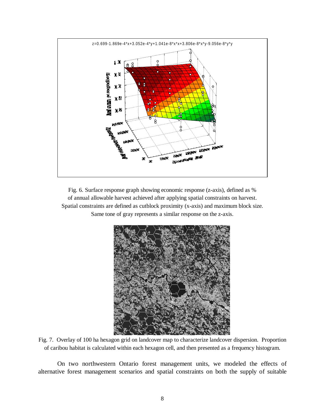

Fig. 6. Surface response graph showing economic response (z-axis), defined as % of annual allowable harvest achieved after applying spatial constraints on harvest. Spatial constraints are defined as cutblock proximity (x-axis) and maximum block size. Same tone of gray represents a similar response on the z-axis.



Fig. 7. Overlay of 100 ha hexagon grid on landcover map to characterize landcover dispersion. Proportion of caribou habitat is calculated within each hexagon cell, and then presented as a frequency histogram.

On two northwestern Ontario forest management units, we modeled the effects of alternative forest management scenarios and spatial constraints on both the supply of suitable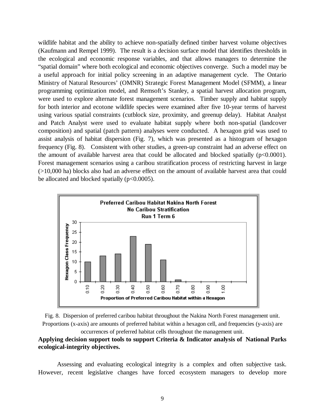wildlife habitat and the ability to achieve non-spatially defined timber harvest volume objectives (Kaufmann and Rempel 1999). The result is a decision surface model that identifies thresholds in the ecological and economic response variables, and that allows managers to determine the "spatial domain" where both ecological and economic objectives converge. Such a model may be a useful approach for initial policy screening in an adaptive management cycle. The Ontario Ministry of Natural Resources' (OMNR) Strategic Forest Management Model (SFMM), a linear programming optimization model, and Remsoft's Stanley, a spatial harvest allocation program, were used to explore alternate forest management scenarios. Timber supply and habitat supply for both interior and ecotone wildlife species were examined after five 10-year terms of harvest using various spatial constraints (cutblock size, proximity, and greenup delay). Habitat Analyst and Patch Analyst were used to evaluate habitat supply where both non-spatial (landcover composition) and spatial (patch pattern) analyses were conducted. A hexagon grid was used to assist analysis of habitat dispersion (Fig. 7), which was presented as a histogram of hexagon frequency (Fig. 8). Consistent with other studies, a green-up constraint had an adverse effect on the amount of available harvest area that could be allocated and blocked spatially  $(p<0.0001)$ . Forest management scenarios using a caribou stratification process of restricting harvest in large (>10,000 ha) blocks also had an adverse effect on the amount of available harvest area that could be allocated and blocked spatially  $(p<0.0005)$ .





occurrences of preferred habitat cells throughout the management unit.

#### **Applying decision support tools to support Criteria & Indicator analysis of National Parks ecological-integrity objectives.**

Assessing and evaluating ecological integrity is a complex and often subjective task. However, recent legislative changes have forced ecosystem managers to develop more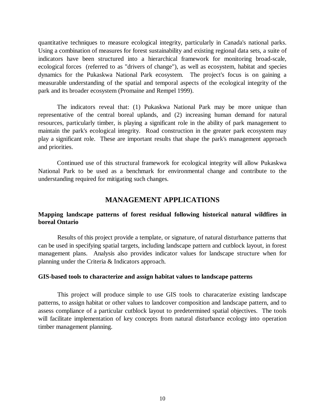quantitative techniques to measure ecological integrity, particularly in Canada's national parks. Using a combination of measures for forest sustainability and existing regional data sets, a suite of indicators have been structured into a hierarchical framework for monitoring broad-scale, ecological forces (referred to as "drivers of change"), as well as ecosystem, habitat and species dynamics for the Pukaskwa National Park ecosystem. The project's focus is on gaining a measurable understanding of the spatial and temporal aspects of the ecological integrity of the park and its broader ecosystem (Promaine and Rempel 1999).

The indicators reveal that: (1) Pukaskwa National Park may be more unique than representative of the central boreal uplands, and (2) increasing human demand for natural resources, particularly timber, is playing a significant role in the ability of park management to maintain the park's ecological integrity. Road construction in the greater park ecosystem may play a significant role. These are important results that shape the park's management approach and priorities.

Continued use of this structural framework for ecological integrity will allow Pukaskwa National Park to be used as a benchmark for environmental change and contribute to the understanding required for mitigating such changes.

# **MANAGEMENT APPLICATIONS**

#### **Mapping landscape patterns of forest residual following historical natural wildfires in boreal Ontario**

Results of this project provide a template, or signature, of natural disturbance patterns that can be used in specifying spatial targets, including landscape pattern and cutblock layout, in forest management plans. Analysis also provides indicator values for landscape structure when for planning under the Criteria & Indicators approach.

#### **GIS-based tools to characterize and assign habitat values to landscape patterns**

This project will produce simple to use GIS tools to characaterize existing landscape patterns, to assign habitat or other values to landcover composition and landscape pattern, and to assess compliance of a particular cutblock layout to predetermined spatial objectives. The tools will facilitate implementation of key concepts from natural disturbance ecology into operation timber management planning.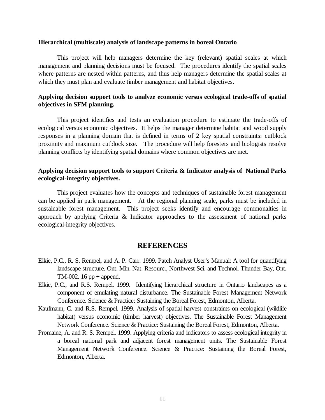#### **Hierarchical (multiscale) analysis of landscape patterns in boreal Ontario**

This project will help managers determine the key (relevant) spatial scales at which management and planning decisions must be focused. The procedures identify the spatial scales where patterns are nested within patterns, and thus help managers determine the spatial scales at which they must plan and evaluate timber management and habitat objectives.

#### **Applying decision support tools to analyze economic versus ecological trade-offs of spatial objectives in SFM planning.**

This project identifies and tests an evaluation procedure to estimate the trade-offs of ecological versus economic objectives. It helps the manager determine habitat and wood supply responses in a planning domain that is defined in terms of 2 key spatial constraints: cutblock proximity and maximum cutblock size. The procedure will help foresters and biologists resolve planning conflicts by identifying spatial domains where common objectives are met.

#### **Applying decision support tools to support Criteria & Indicator analysis of National Parks ecological-integrity objectives.**

This project evaluates how the concepts and techniques of sustainable forest management can be applied in park management. At the regional planning scale, parks must be included in sustainable forest management. This project seeks identify and encourage commonalties in approach by applying Criteria & Indicator approaches to the assessment of national parks ecological-integrity objectives.

#### **REFERENCES**

- Elkie, P.C., R. S. Rempel, and A. P. Carr. 1999. Patch Analyst User's Manual: A tool for quantifying landscape structure. Ont. Min. Nat. Resourc., Northwest Sci. and Technol. Thunder Bay, Ont. TM-002. 16 pp  $+$  append.
- Elkie, P.C., and R.S. Rempel. 1999. Identifying hierarchical structure in Ontario landscapes as a component of emulating natural disturbance. The Sustainable Forest Management Network Conference. Science & Practice: Sustaining the Boreal Forest, Edmonton, Alberta.
- Kaufmann, C. and R.S. Rempel. 1999. Analysis of spatial harvest constraints on ecological (wildlife habitat) versus economic (timber harvest) objectives. The Sustainable Forest Management Network Conference. Science & Practice: Sustaining the Boreal Forest, Edmonton, Alberta.
- Promaine, A. and R. S. Rempel. 1999. Applying criteria and indicators to assess ecological integrity in a boreal national park and adjacent forest management units. The Sustainable Forest Management Network Conference. Science & Practice: Sustaining the Boreal Forest, Edmonton, Alberta.